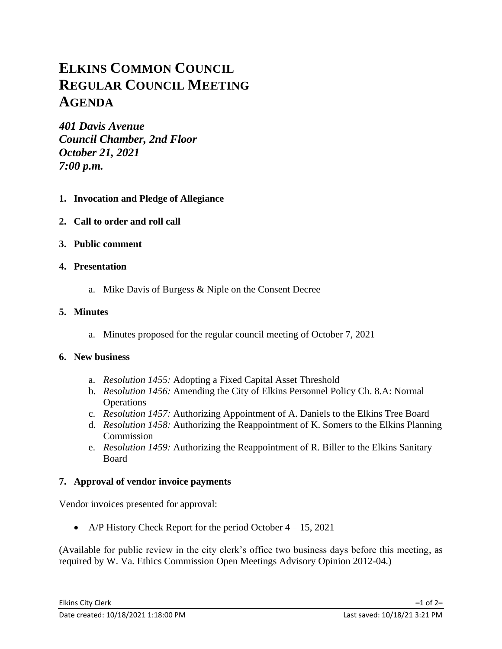# **ELKINS COMMON COUNCIL REGULAR COUNCIL MEETING AGENDA**

*401 Davis Avenue Council Chamber, 2nd Floor October 21, 2021 7:00 p.m.*

- **1. Invocation and Pledge of Allegiance**
- **2. Call to order and roll call**
- **3. Public comment**

## **4. Presentation**

a. Mike Davis of Burgess & Niple on the Consent Decree

## **5. Minutes**

a. Minutes proposed for the regular council meeting of October 7, 2021

## **6. New business**

- a. *Resolution 1455:* Adopting a Fixed Capital Asset Threshold
- b. *Resolution 1456:* Amending the City of Elkins Personnel Policy Ch. 8.A: Normal **Operations**
- c. *Resolution 1457:* Authorizing Appointment of A. Daniels to the Elkins Tree Board
- d. *Resolution 1458:* Authorizing the Reappointment of K. Somers to the Elkins Planning Commission
- e. *Resolution 1459:* Authorizing the Reappointment of R. Biller to the Elkins Sanitary Board

## **7. Approval of vendor invoice payments**

Vendor invoices presented for approval:

• A/P History Check Report for the period October  $4 - 15$ , 2021

(Available for public review in the city clerk's office two business days before this meeting, as required by W. Va. Ethics Commission Open Meetings Advisory Opinion 2012-04.)